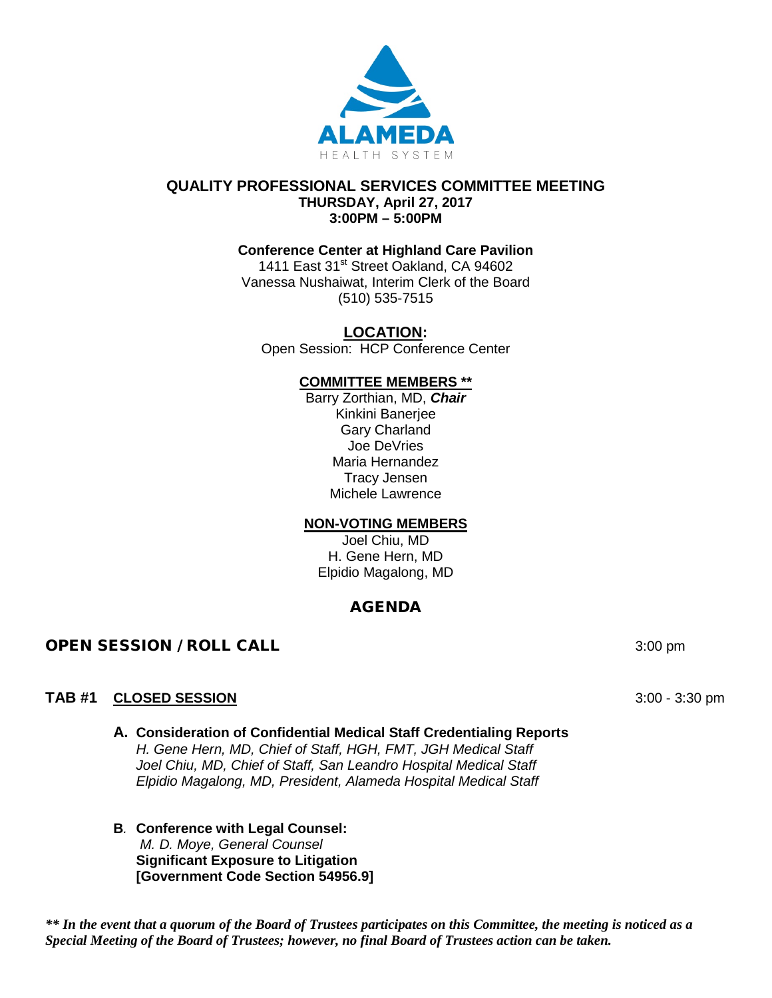

#### **QUALITY PROFESSIONAL SERVICES COMMITTEE MEETING THURSDAY, April 27, 2017 3:00PM – 5:00PM**

## **Conference Center at Highland Care Pavilion**

1411 East 31<sup>st</sup> Street Oakland, CA 94602 Vanessa Nushaiwat, Interim Clerk of the Board (510) 535-7515

## **LOCATION:**

Open Session: HCP Conference Center

## **COMMITTEE MEMBERS \*\***

Barry Zorthian, MD, *Chair* Kinkini Banerjee Gary Charland Joe DeVries Maria Hernandez Tracy Jensen Michele Lawrence

## **NON-VOTING MEMBERS**

Joel Chiu, MD H. Gene Hern, MD Elpidio Magalong, MD

## AGENDA

## **OPEN SESSION / ROLL CALL 3:00 pm** 3:00 pm

## **TAB #1 CLOSED SESSION** 3:00 - 3:30 pm

- **A. Consideration of Confidential Medical Staff Credentialing Reports**  *H. Gene Hern, MD, Chief of Staff, HGH, FMT, JGH Medical Staff Joel Chiu, MD, Chief of Staff, San Leandro Hospital Medical Staff Elpidio Magalong, MD, President, Alameda Hospital Medical Staff*
- **B***.* **Conference with Legal Counsel:**  *M. D. Moye, General Counsel* **Significant Exposure to Litigation [Government Code Section 54956.9]**

*\*\* In the event that a quorum of the Board of Trustees participates on this Committee, the meeting is noticed as a Special Meeting of the Board of Trustees; however, no final Board of Trustees action can be taken.*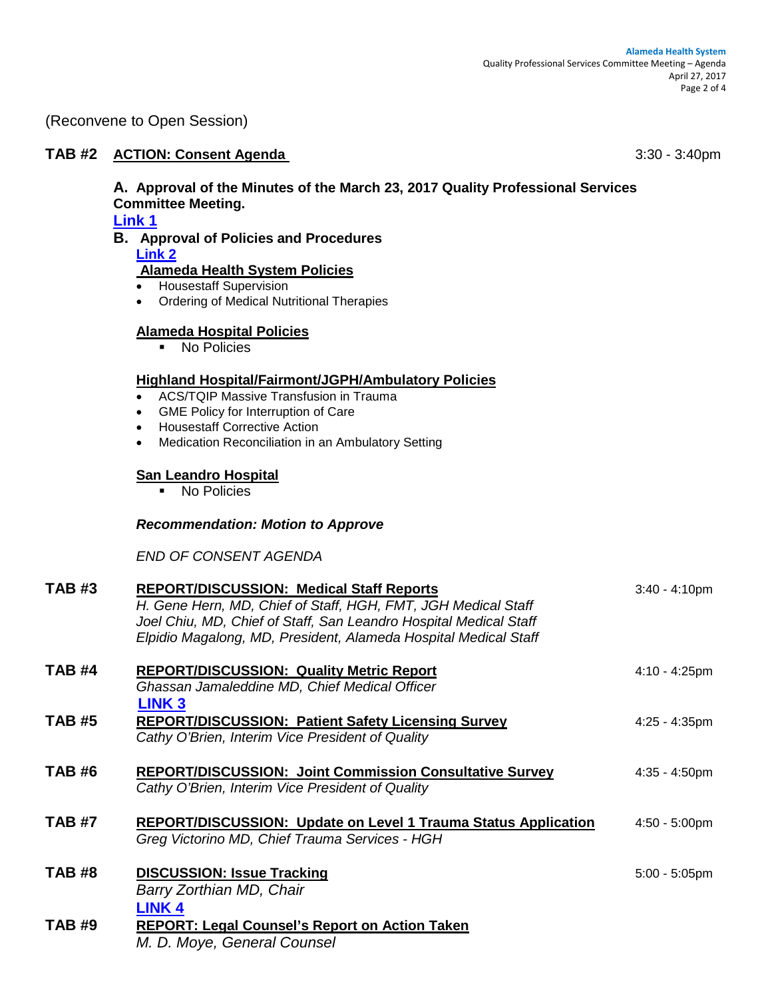(Reconvene to Open Session)

## **TAB #2 ACTION: Consent Agenda** 3:30 - 3:40pm

# **A. Approval of the Minutes of the March 23, 2017 Quality Professional Services Committee Meeting.**

**[Link 1](https://www.dropbox.com/s/e42ggjgu4gareuv/03232017%20QPSC%20Meeting%20Minutes.pdf?dl=0)**

#### **B. Approval of Policies and Procedures [Link 2](https://www.dropbox.com/s/sa2zi4fuhyr5fv9/POLICIES%20FOR%20QPSC%20APRIL%202017.pdf?dl=0)**

## **Alameda Health System Policies**

- Housestaff Supervision
- Ordering of Medical Nutritional Therapies

## **Alameda Hospital Policies**

**No Policies** 

#### **Highland Hospital/Fairmont/JGPH/Ambulatory Policies**

- ACS/TQIP Massive Transfusion in Trauma
- GME Policy for Interruption of Care
- Housestaff Corrective Action
- Medication Reconciliation in an Ambulatory Setting

## **San Leandro Hospital**

**No Policies** 

## *Recommendation: Motion to Approve*

*END OF CONSENT AGENDA*

| <b>TAB #3</b> | <b>REPORT/DISCUSSION: Medical Staff Reports</b><br>H. Gene Hern, MD, Chief of Staff, HGH, FMT, JGH Medical Staff<br>Joel Chiu, MD, Chief of Staff, San Leandro Hospital Medical Staff<br>Elpidio Magalong, MD, President, Alameda Hospital Medical Staff | $3:40 - 4:10pm$         |
|---------------|----------------------------------------------------------------------------------------------------------------------------------------------------------------------------------------------------------------------------------------------------------|-------------------------|
| <b>TAB #4</b> | <b>REPORT/DISCUSSION: Quality Metric Report</b><br>Ghassan Jamaleddine MD, Chief Medical Officer<br><b>LINK3</b>                                                                                                                                         | $4:10 - 4:25$ pm        |
| <b>TAB #5</b> | <b>REPORT/DISCUSSION: Patient Safety Licensing Survey</b><br>Cathy O'Brien, Interim Vice President of Quality                                                                                                                                            | $4:25 - 4:35$ pm        |
| <b>TAB #6</b> | <b>REPORT/DISCUSSION: Joint Commission Consultative Survey</b><br>Cathy O'Brien, Interim Vice President of Quality                                                                                                                                       | $4:35 - 4:50$ pm        |
| <b>TAB #7</b> | <b>REPORT/DISCUSSION: Update on Level 1 Trauma Status Application</b><br>Greg Victorino MD, Chief Trauma Services - HGH                                                                                                                                  | $4:50 - 5:00 \text{pm}$ |
| <b>TAB #8</b> | <b>DISCUSSION: Issue Tracking</b><br>Barry Zorthian MD, Chair<br>LINK <sub>4</sub>                                                                                                                                                                       | $5:00 - 5:05$ pm        |
| <b>TAB#9</b>  | <b>REPORT: Legal Counsel's Report on Action Taken</b><br>M <sub>D</sub> Mayo Caparal Caupaal                                                                                                                                                             |                         |

*M. D. Moye, General Counsel*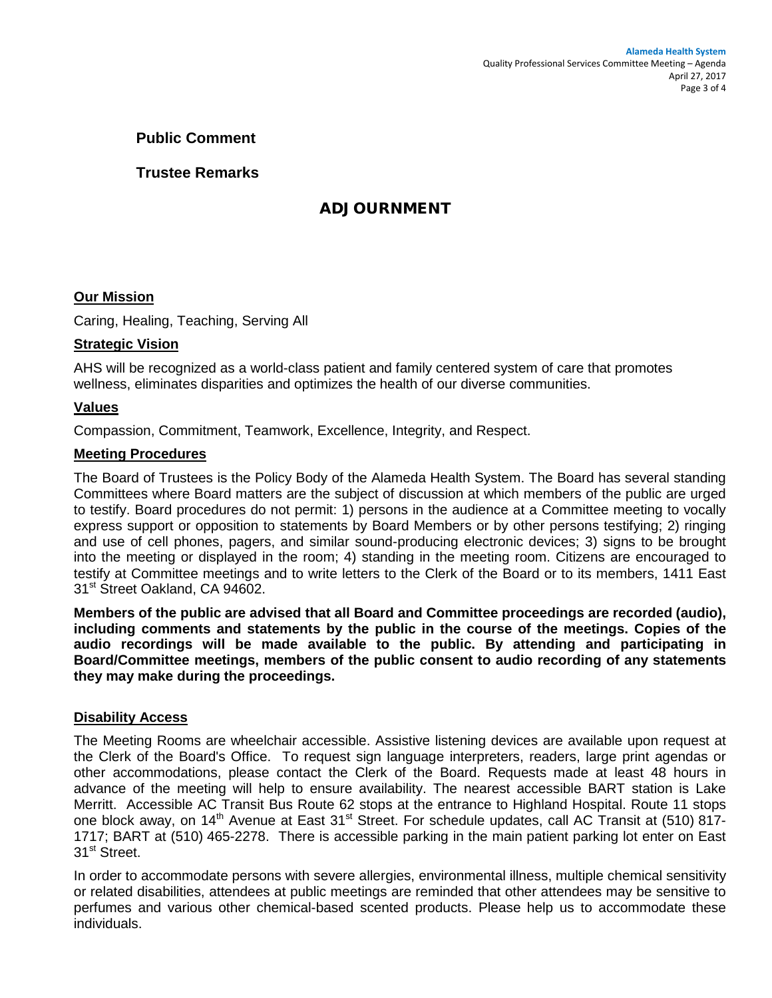## **Public Comment**

## **Trustee Remarks**

## ADJOURNMENT

## **Our Mission**

Caring, Healing, Teaching, Serving All

## **Strategic Vision**

AHS will be recognized as a world-class patient and family centered system of care that promotes wellness, eliminates disparities and optimizes the health of our diverse communities.

#### **Values**

Compassion, Commitment, Teamwork, Excellence, Integrity, and Respect.

#### **Meeting Procedures**

The Board of Trustees is the Policy Body of the Alameda Health System. The Board has several standing Committees where Board matters are the subject of discussion at which members of the public are urged to testify. Board procedures do not permit: 1) persons in the audience at a Committee meeting to vocally express support or opposition to statements by Board Members or by other persons testifying; 2) ringing and use of cell phones, pagers, and similar sound-producing electronic devices; 3) signs to be brought into the meeting or displayed in the room; 4) standing in the meeting room. Citizens are encouraged to testify at Committee meetings and to write letters to the Clerk of the Board or to its members, 1411 East 31<sup>st</sup> Street Oakland, CA 94602.

**Members of the public are advised that all Board and Committee proceedings are recorded (audio), including comments and statements by the public in the course of the meetings. Copies of the audio recordings will be made available to the public. By attending and participating in Board/Committee meetings, members of the public consent to audio recording of any statements they may make during the proceedings.** 

#### **Disability Access**

The Meeting Rooms are wheelchair accessible. Assistive listening devices are available upon request at the Clerk of the Board's Office. To request sign language interpreters, readers, large print agendas or other accommodations, please contact the Clerk of the Board. Requests made at least 48 hours in advance of the meeting will help to ensure availability. The nearest accessible BART station is Lake Merritt. Accessible AC Transit Bus Route 62 stops at the entrance to Highland Hospital. Route 11 stops one block away, on 14<sup>th</sup> Avenue at East 31<sup>st</sup> Street. For schedule updates, call AC Transit at (510) 817-1717; BART at (510) 465-2278. There is accessible parking in the main patient parking lot enter on East 31<sup>st</sup> Street.

In order to accommodate persons with severe allergies, environmental illness, multiple chemical sensitivity or related disabilities, attendees at public meetings are reminded that other attendees may be sensitive to perfumes and various other chemical-based scented products. Please help us to accommodate these individuals.